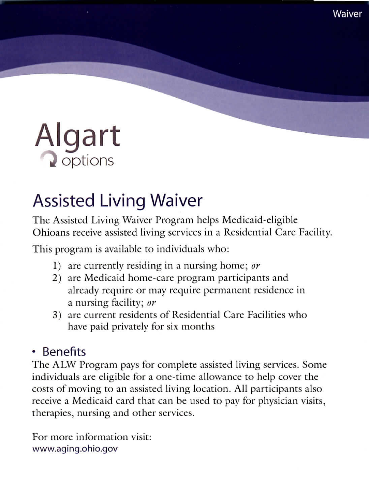

# Assisted Living Waiver

The Assisted Living Waiver Program helps Medicaid-eligible Ohioans receive assisted living services in a Residential Care Facility.

This program is available to individuals who:

- 1) are currently residing in a nursing home; *or*
- 2) are Medieaid home-care program participants and already require or may require permanent residence in a nursing facility; *or*
- 3) are current residents of Residential Care Facilities who have paid privately for six months

### - Benefits

The ALW Program pays for complete assisted living services. Some individuals are eligible for a one-time allowance to help cover the costs of moving to an assisted living location. All participants also receive a Medieaid card that can be used to pay for physician visits, therapies, nursing and other services.

For more information visit: www.aging.ohio.gov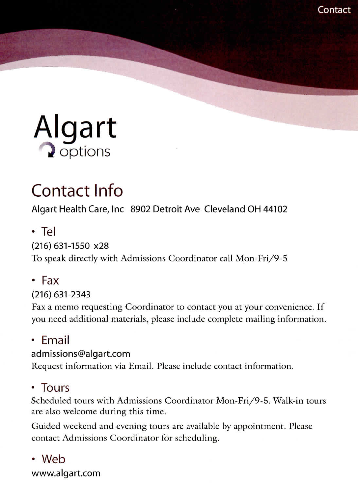

# Contact Info

Algart Health Care, Inc 8902 Detroit Ave Cleveland OH 44102

• Tel

#### (216)631-1550 x28

To speak directly with Admissions Coordinator call Mon-Fri/9-5

• Fax

#### (216)631-2343

Fax a memo requesting Coordinator to contact you at your convenience. If you need additional materials, please include complete mailing information.

#### • Email

#### admissions@algart.com

Request information via Email. Please include contact information.

### • Tours

Scheduled tours with Admissions Coordinator Mon-Fri/9-5. Walk-in tours are also welcome during this time.

Guided weekend and evening tours are available by appointment. Please contact Admissions Coordinator for scheduling.

• Web www.algart.com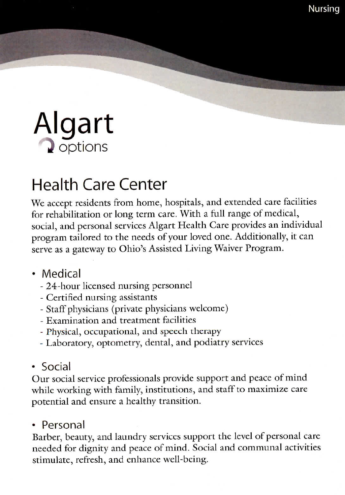

## Health Care Center

We accept residents from home, hospitals, and extended care facilities for rehabilitation or long term care, With a full range of medical, social, and personal services Algart Health Care provides an individual program tailored to the needs of your loved one. Additionally, it can serve as a gateway to Ohio's Assisted Living Waiver Program.

- Medical
	- 24-hour licensed nursing personnel
	- Certified nursing assistants
	- Staff physicians (private physicians welcome)
	- Examination and treatment facilities
	- Physical, occupational, and speech therapy
	- Laboratory, optometry, dental, and podiatry services
- Social

Our social service professionals provide support and peace of mind while working with family, institutions, and staff to maximize care potential and ensure a healthy transition.

#### • Personal

Barber, beauty, and laundry services support the level of personal care needed for dignity and peace of mind. Social and communal activities stimulate, refresh, and enhance well-being.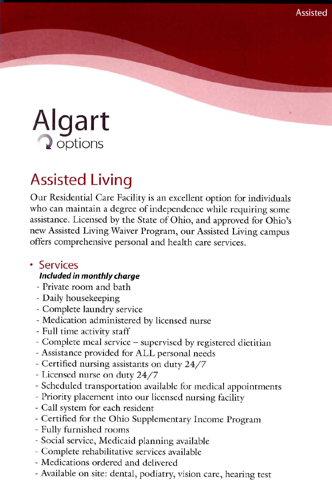

### Assisted Living

Our Residential Care Facility is an excellent option for individuals who can maintain a degree of independence while requiring some assistance. Licensed by the State of Ohio, and approved for Ohio's new Assisted Living Waiver Program, our Assisted Living campus offers comprehensive personal and health care services.

### • Services **Included in monthly charge**

- *-* Private room and bath
- Daily housekeeping
- Complete laundry service
- Medication administered by licensed nurse
- Full time activity staff
- Complete meal service supervised by registered dietitian
- Assistance provided for ALL personal needs
- Certified nursing assistants on duty 24/7
- Licensed nurse on duty 24/7
- Scheduled transportation available for medical appointments
- Priority placement into our licensed nursing facility
- Call system for each resident
- Certified for the Ohio Supplementary Income Program
- Fully furnished rooms
- Social service, Medicaid planning available
- Complete rehabilitative services available
- Medications ordered and delivered
- Available on site: dental, podiatry, vision care, hearing test